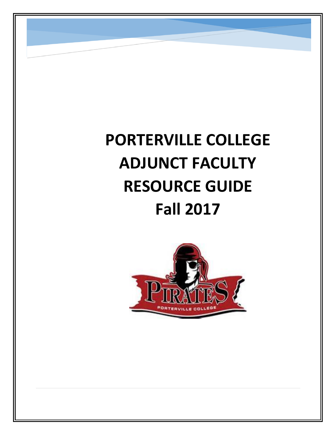# **PORTERVILLE COLLEGE ADJUNCT FACULTY RESOURCE GUIDE Fall 2017**

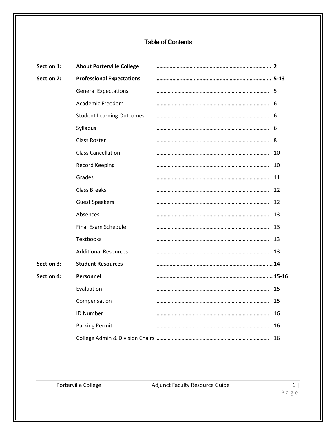# Table of Contents

| <b>Section 1:</b> | <b>About Porterville College</b> |     |
|-------------------|----------------------------------|-----|
| <b>Section 2:</b> | <b>Professional Expectations</b> |     |
|                   | <b>General Expectations</b>      |     |
|                   | Academic Freedom                 |     |
|                   | <b>Student Learning Outcomes</b> |     |
|                   | Syllabus                         | - 6 |
|                   | <b>Class Roster</b>              | 8   |
|                   | <b>Class Cancellation</b>        | 10  |
|                   | <b>Record Keeping</b>            | 10  |
|                   | Grades                           | 11  |
|                   | <b>Class Breaks</b>              | 12  |
|                   | <b>Guest Speakers</b>            | 12  |
|                   | Absences                         | 13  |
|                   | Final Exam Schedule              | 13  |
|                   | <b>Textbooks</b>                 | 13  |
|                   | <b>Additional Resources</b>      | -13 |
| <b>Section 3:</b> | <b>Student Resources</b>         |     |
| <b>Section 4:</b> | Personnel                        |     |
|                   | Evaluation                       | 15  |
|                   | Compensation                     | 15  |
|                   | <b>ID Number</b>                 | 16  |
|                   | <b>Parking Permit</b>            | 16  |
|                   |                                  |     |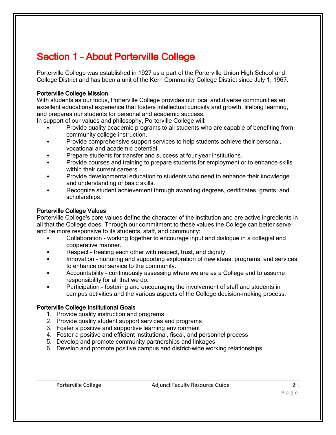# Section 1 – About Porterville College

Porterville College was established in 1927 as a part of the Porterville Union High School and College District and has been a unit of the Kern Community College District since July 1, 1967.

# Porterville College Mission

With students as our focus, Porterville College provides our local and diverse communities an excellent educational experience that fosters intellectual curiosity and growth, lifelong learning, and prepares our students for personal and academic success.

In support of our values and philosophy, Porterville College will:

- Provide quality academic programs to all students who are capable of benefiting from community college instruction.
- Provide comprehensive support services to help students achieve their personal, vocational and academic potential.
- Prepare students for transfer and success at four-year institutions.
- Provide courses and training to prepare students for employment or to enhance skills within their current careers.
- Provide developmental education to students who need to enhance their knowledge and understanding of basic skills.
- Recognize student achievement through awarding degrees, certificates, grants, and scholarships.

#### Porterville College Values

Porterville College's core values define the character of the institution and are active ingredients in all that the College does. Through our commitment to these values the College can better serve and be more responsive to its students, staff, and community:

- Collaboration working together to encourage input and dialogue in a collegial and cooperative manner.
- Respect treating each other with respect, trust, and dignity.
- Innovation nurturing and supporting exploration of new ideas, programs, and services to enhance our service to the community.
- Accountability continuously assessing where we are as a College and to assume responsibility for all that we do.
- Participation fostering and encouraging the involvement of staff and students in campus activities and the various aspects of the College decision-making process.

# Porterville College Institutional Goals

- 1. Provide quality instruction and programs
- 2. Provide quality student support services and programs
- 3. Foster a positive and supportive learning environment
- 4. Foster a positive and efficient institutional, fiscal, and personnel process
- 5. Develop and promote community partnerships and linkages
- 6. Develop and promote positive campus and district-wide working relationships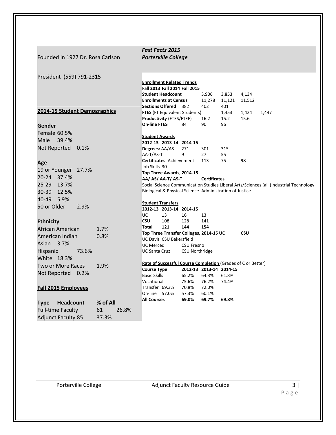| Founded in 1927 Dr. Rosa Carlson    |             |                          | <b>Fast Facts 2015</b><br><b>Porterville College</b>                |                   |                     |                         |            |                                                                                        |
|-------------------------------------|-------------|--------------------------|---------------------------------------------------------------------|-------------------|---------------------|-------------------------|------------|----------------------------------------------------------------------------------------|
|                                     |             |                          |                                                                     |                   |                     |                         |            |                                                                                        |
| President (559) 791-2315            |             |                          |                                                                     |                   |                     |                         |            |                                                                                        |
|                                     |             |                          | <b>Enrollment Related Trends</b><br>Fall 2013 Fall 2014 Fall 2015   |                   |                     |                         |            |                                                                                        |
|                                     |             |                          | Student Headcount                                                   |                   | 3,906               | 3,853                   | 4,134      |                                                                                        |
|                                     |             |                          | <b>Enrollments at Census</b>                                        |                   | 11,278              | 11,121                  | 11,512     |                                                                                        |
|                                     |             |                          | Sections Offered 382                                                |                   | 402                 | 401                     |            |                                                                                        |
| <b>2014-15 Student Demographics</b> |             |                          | <b>FTES</b> (FT Equivalent Students)                                |                   |                     | 1,453                   | 1,424      | 1,447                                                                                  |
|                                     |             |                          | Productivity (FTES/FTEF)                                            |                   | 16.2                | 15.2                    | 15.6       |                                                                                        |
| Gender                              |             | <b>On-line FTES</b>      |                                                                     | 84                | 90                  | 96                      |            |                                                                                        |
| Female 60.5%                        |             |                          |                                                                     |                   |                     |                         |            |                                                                                        |
| Male<br>39.4%                       |             | <b>Student Awards</b>    |                                                                     |                   |                     |                         |            |                                                                                        |
|                                     |             |                          | 2012-13 2013-14 2014-15                                             |                   |                     |                         |            |                                                                                        |
| Not Reported<br>0.1%                |             | Degrees: AA/AS           |                                                                     | 271               | 301                 | 315                     |            |                                                                                        |
|                                     |             | AA-T/AS-T                | <b>Certificates:</b> Achievement                                    | 9                 | 27<br>113           | 55<br>75                | 98         |                                                                                        |
| Age                                 |             | Uob Skills 30            |                                                                     |                   |                     |                         |            |                                                                                        |
| 19 or Younger 27.7%                 |             |                          | Top Three Awards, 2014-15                                           |                   |                     |                         |            |                                                                                        |
| 20-24 37.4%                         |             |                          | AA/ AS/ AA-T/ AS-T                                                  |                   | <b>Certificates</b> |                         |            |                                                                                        |
| $25 - 29$<br>13.7%                  |             |                          |                                                                     |                   |                     |                         |            | Social Science Communication Studies Liberal Arts/Sciences (all )Industrial Technology |
| 12.5%<br>30-39                      |             |                          | Biological & Physical Science Administration of Justice             |                   |                     |                         |            |                                                                                        |
| 40-49 5.9%                          |             |                          |                                                                     |                   |                     |                         |            |                                                                                        |
| 50 or Older<br>2.9%                 |             | <b>Student Transfers</b> |                                                                     |                   |                     |                         |            |                                                                                        |
|                                     |             |                          | 2012-13 2013-14 2014-15                                             |                   |                     |                         |            |                                                                                        |
|                                     |             | UC                       | 13                                                                  | 16                | 13                  |                         |            |                                                                                        |
| <b>Ethnicity</b>                    |             | CSU                      | 108                                                                 | 128               | 141                 |                         |            |                                                                                        |
| African American                    | 1.7%        | Total                    | 121                                                                 | 144               | 154                 |                         |            |                                                                                        |
| American Indian                     | 0.8%        |                          | Top Three Transfer Colleges, 2014-15 UC<br>UC Davis CSU Bakersfield |                   |                     |                         | <b>CSU</b> |                                                                                        |
| Asian 3.7%                          |             | <b>UC Merced</b>         |                                                                     | <b>CSU Fresno</b> |                     |                         |            |                                                                                        |
| 73.6%<br><b>Hispanic</b>            |             | UC Santa Cruz            |                                                                     | CSU Northridge    |                     |                         |            |                                                                                        |
| White 18.3%                         |             |                          |                                                                     |                   |                     |                         |            |                                                                                        |
| <b>Two or More Races</b>            | 1.9%        |                          | Rate of Successful Course Completion (Grades of C or Better)        |                   |                     |                         |            |                                                                                        |
|                                     |             | <b>Course Type</b>       |                                                                     |                   |                     | 2012-13 2013-14 2014-15 |            |                                                                                        |
| Not Reported 0.2%                   |             | <b>Basic Skills</b>      |                                                                     | 65.2%             | 64.3%               | 61.8%                   |            |                                                                                        |
|                                     |             | Vocational               |                                                                     | 75.6%             | 76.2%               | 74.4%                   |            |                                                                                        |
| <b>Fall 2015 Employees</b>          |             | Transfer 69.3%           |                                                                     | 70.8%             | 72.0%               |                         |            |                                                                                        |
|                                     |             | On-line 57.0%            |                                                                     | 57.3%             | 60.1%               |                         |            |                                                                                        |
| <b>Headcount</b><br><b>Type</b>     | % of All    | <b>All Courses</b>       |                                                                     | 69.0%             | 69.7%               | 69.8%                   |            |                                                                                        |
|                                     | 61<br>26.8% |                          |                                                                     |                   |                     |                         |            |                                                                                        |
| <b>Full-time Faculty</b>            |             |                          |                                                                     |                   |                     |                         |            |                                                                                        |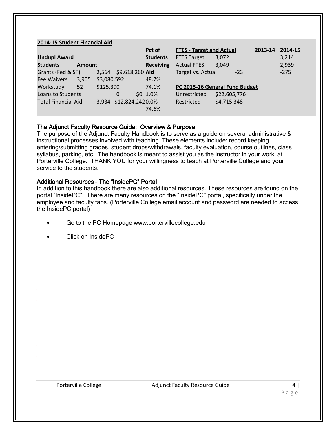#### **2014-15 Student Financial Aid**

|                            |               |             |                        | Pct of           | <b>FTES - Target and Actual</b> |                                | 2013-14 | 2014-15 |
|----------------------------|---------------|-------------|------------------------|------------------|---------------------------------|--------------------------------|---------|---------|
| <b>Undupl Award</b>        |               |             |                        | <b>Students</b>  | <b>FTES Target</b>              | 3,072                          |         | 3,214   |
| <b>Students</b>            | <b>Amount</b> |             |                        | <b>Receiving</b> | <b>Actual FTES</b>              | 3,049                          |         | 2,939   |
| Grants (Fed & ST)          |               |             | 2,564 \$9,618,260 Aid  |                  | Target vs. Actual               | $-23$                          |         | $-275$  |
| <b>Fee Waivers</b>         | 3,905         | \$3,080,592 |                        | 48.7%            |                                 |                                |         |         |
| Workstudy                  | 52            | \$125,390   |                        | 74.1%            |                                 | PC 2015-16 General Fund Budget |         |         |
| Loans to Students          |               |             | 0                      | $$0, 1.0\%$      | Unrestricted                    | \$22,605,776                   |         |         |
| <b>Total Financial Aid</b> |               |             | 3,934 \$12,824,2420.0% |                  | Restricted                      | \$4,715,348                    |         |         |
|                            |               |             |                        | 74.6%            |                                 |                                |         |         |

# The Adjunct Faculty Resource Guide: Overview & Purpose

The purpose of the Adjunct Faculty Handbook is to serve as a guide on several administrative & instructional processes involved with teaching. These elements include: record keeping, entering/submitting grades, student drops/withdrawals, faculty evaluation, course outlines, class syllabus, parking, etc. The handbook is meant to assist you as the instructor in your work at Porterville College. THANK YOU for your willingness to teach at Porterville College and your service to the students.

# Additional Resources – The "InsidePC" Portal

In addition to this handbook there are also additional resources. These resources are found on the portal "InsidePC". There are many resources on the "InsidePC" portal, specifically under the employee and faculty tabs. (Porterville College email account and password are needed to access the InsidePC portal)

- Go to the PC Homepage www.portervillecollege.edu
- Click on InsidePC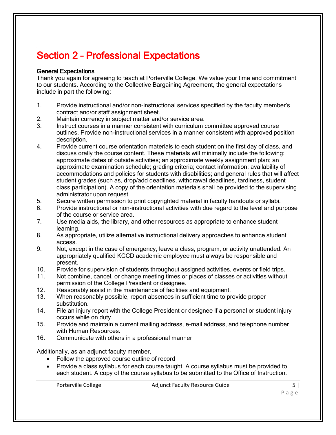# Section 2 – Professional Expectations

# General Expectations

Thank you again for agreeing to teach at Porterville College. We value your time and commitment to our students. According to the Collective Bargaining Agreement, the general expectations include in part the following:

- 1. Provide instructional and/or non-instructional services specified by the faculty member's contract and/or staff assignment sheet.
- 2. Maintain currency in subject matter and/or service area.
- 3. Instruct courses in a manner consistent with curriculum committee approved course outlines. Provide non-instructional services in a manner consistent with approved position description.
- 4. Provide current course orientation materials to each student on the first day of class, and discuss orally the course content. These materials will minimally include the following: approximate dates of outside activities; an approximate weekly assignment plan; an approximate examination schedule; grading criteria; contact information; availability of accommodations and policies for students with disabilities; and general rules that will affect student grades (such as, drop/add deadlines, withdrawal deadlines, tardiness, student class participation). A copy of the orientation materials shall be provided to the supervising administrator upon request.
- 5. Secure written permission to print copyrighted material in faculty handouts or syllabi.
- 6. Provide instructional or non-instructional activities with due regard to the level and purpose of the course or service area.
- 7. Use media aids, the library, and other resources as appropriate to enhance student learning.
- 8. As appropriate, utilize alternative instructional delivery approaches to enhance student access.
- 9. Not, except in the case of emergency, leave a class, program, or activity unattended. An appropriately qualified KCCD academic employee must always be responsible and present.
- 10. Provide for supervision of students throughout assigned activities, events or field trips.
- 11. Not combine, cancel, or change meeting times or places of classes or activities without permission of the College President or designee.
- 12. Reasonably assist in the maintenance of facilities and equipment.
- 13. When reasonably possible, report absences in sufficient time to provide proper substitution.
- 14. File an injury report with the College President or designee if a personal or student injury occurs while on duty.
- 15. Provide and maintain a current mailing address, e-mail address, and telephone number with Human Resources.
- 16. Communicate with others in a professional manner

Additionally, as an adjunct faculty member,

- Follow the approved course outline of record
- Provide a class syllabus for each course taught. A course syllabus must be provided to each student. A copy of the course syllabus to be submitted to the Office of Instruction.

Porterville College The Adjunct Faculty Resource Guide College 5 |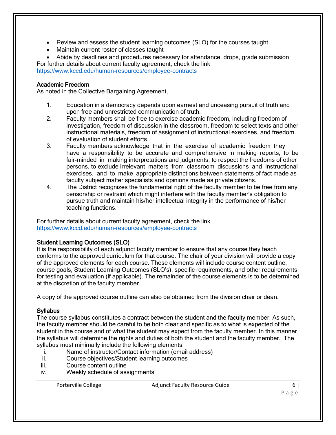- Review and assess the student learning outcomes (SLO) for the courses taught
- Maintain current roster of classes taught
- Abide by deadlines and procedures necessary for attendance, drops, grade submission For further details about current faculty agreement, check the link

<https://www.kccd.edu/human-resources/employee-contracts>

# Academic Freedom

As noted in the Collective Bargaining Agreement,

- 1. Education in a democracy depends upon earnest and unceasing pursuit of truth and upon free and unrestricted communication of truth.
- 2. Faculty members shall be free to exercise academic freedom, including freedom of investigation, freedom of discussion in the classroom, freedom to select texts and other instructional materials, freedom of assignment of instructional exercises, and freedom of evaluation of student efforts.
- 3. Faculty members acknowledge that in the exercise of academic freedom they have a responsibility to be accurate and comprehensive in making reports, to be fair-minded in making interpretations and judgments, to respect the freedoms of other persons, to exclude irrelevant matters from classroom discussions and instructional exercises, and to make appropriate distinctions between statements of fact made as faculty subject matter specialists and opinions made as private citizens.
- 4. The District recognizes the fundamental right of the faculty member to be free from any censorship or restraint which might interfere with the faculty member's obligation to pursue truth and maintain his/her intellectual integrity in the performance of his/her teaching functions.

For further details about current faculty agreement, check the link <https://www.kccd.edu/human-resources/employee-contracts>

# Student Learning Outcomes (SLO)

It is the responsibility of each adjunct faculty member to ensure that any course they teach conforms to the approved curriculum for that course. The chair of your division will provide a copy of the approved elements for each course. These elements will include course content outline, course goals, Student Learning Outcomes (SLO's), specific requirements, and other requirements for testing and evaluation (if applicable). The remainder of the course elements is to be determined at the discretion of the faculty member.

A copy of the approved course outline can also be obtained from the division chair or dean.

# **Syllabus**

The course syllabus constitutes a contract between the student and the faculty member. As such, the faculty member should be careful to be both clear and specific as to what is expected of the student in the course and of what the student may expect from the faculty member. In this manner the syllabus will determine the rights and duties of both the student and the faculty member. The syllabus must minimally include the following elements:

- i. Name of instructor/Contact information (email address)
- ii. Course objectives/Student learning outcomes
- iii. Course content outline
- iv. Weekly schedule of assignments

Porterville College The Adjunct Faculty Resource Guide 6 | College 6 | College 6 | College 6 | College 6 | College 6 | College 6 | College 6 | College 6 | College 6 | College 6 | College 6 | College 6 | College 6 | College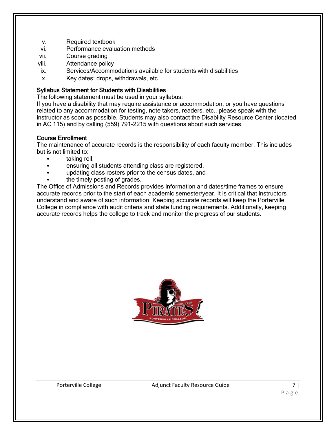- v. Required textbook
- vi. Performance evaluation methods
- vii. Course grading
- viii. Attendance policy
- ix. Services/Accommodations available for students with disabilities
- x. Key dates: drops, withdrawals, etc.

#### Syllabus Statement for Students with Disabilities

The following statement must be used in your syllabus:

If you have a disability that may require assistance or accommodation, or you have questions related to any accommodation for testing, note takers, readers, etc., please speak with the instructor as soon as possible. Students may also contact the Disability Resource Center (located in AC 115) and by calling (559) 791-2215 with questions about such services.

#### Course Enrollment

The maintenance of accurate records is the responsibility of each faculty member. This includes but is not limited to:

- taking roll,
- ensuring all students attending class are registered,
- updating class rosters prior to the census dates, and
- the timely posting of grades.

The Office of Admissions and Records provides information and dates/time frames to ensure accurate records prior to the start of each academic semester/year. It is critical that instructors understand and aware of such information. Keeping accurate records will keep the Porterville College in compliance with audit criteria and state funding requirements. Additionally, keeping accurate records helps the college to track and monitor the progress of our students.

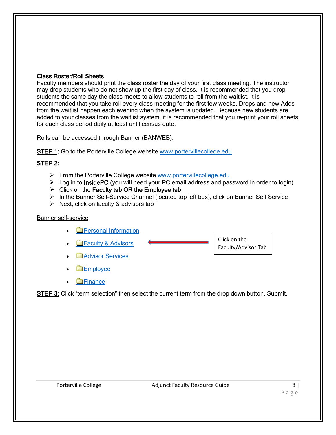# Class Roster/Roll Sheets

Faculty members should print the class roster the day of your first class meeting. The instructor may drop students who do not show up the first day of class. It is recommended that you drop students the same day the class meets to allow students to roll from the waitlist. It is recommended that you take roll every class meeting for the first few weeks. Drops and new Adds from the waitlist happen each evening when the system is updated. Because new students are added to your classes from the waitlist system, it is recommended that you re-print your roll sheets for each class period daily at least until census date.

Rolls can be accessed through Banner (BANWEB).

STEP 1: Go to the Porterville College website www.portervillecollege.edu

# STEP 2:

- $\triangleright$  From the Porterville College website [www.portervillecollege.edu](http://www.portervillecollege.edu/)
- $\triangleright$  Log in to InsidePC (you will need your PC email address and password in order to login)
- $\triangleright$  Click on the Faculty tab OR the Employee tab
- $\triangleright$  In the Banner Self-Service Channel (located top left box), click on Banner Self Service
- $\triangleright$  Next, click on faculty & advisors tab

# Banner self-service

- **[Personal Information](javascript:handleMenu()**
- **Exercity & Advisors** Click on the Faculty/Advisor Tab
- **[Advisor Services](javascript:handleMenu()**
- **[Employee](javascript:handleMenu()**
- **Exercise**

STEP 3: Click "term selection" then select the current term from the drop down button. Submit.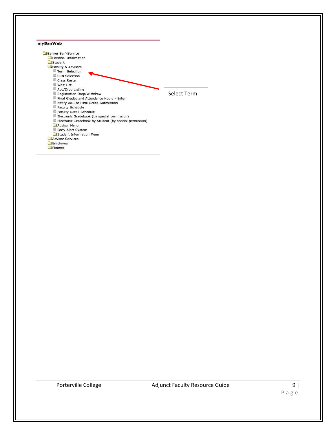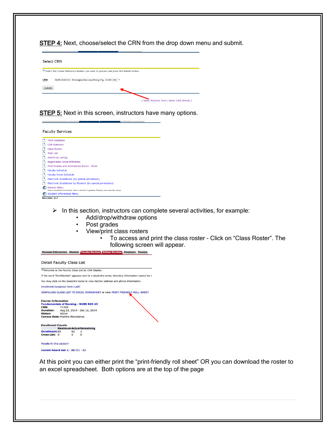STEP 4: Next, choose/select the CRN from the drop down menu and submit.

| <b>Select CRN</b> |                                                                                                                                                 |                                              |
|-------------------|-------------------------------------------------------------------------------------------------------------------------------------------------|----------------------------------------------|
| <b>CRN:</b>       | Select the Course Reference Number you want to process and press the Submit button.<br>NURS B100 01: Strategies/Success/Nrsng Prg, 31609 (60) + |                                              |
| Submit            |                                                                                                                                                 | [ Select Another Term   Enter CRN Directly ] |

**STEP 5:** Next in this screen, instructors have many options.

| <b>Faculty Services</b>                                                                                   |
|-----------------------------------------------------------------------------------------------------------|
| <b>Term Selection</b>                                                                                     |
| <b>CRN Selection</b>                                                                                      |
| <b>Class Roster</b>                                                                                       |
| <b>Wait List</b>                                                                                          |
| Add/Drop Listing                                                                                          |
| Registration Drop/Withdraw                                                                                |
| Final Grades and Attendance Hours - Enter                                                                 |
| <b>Faculty Schedule</b>                                                                                   |
| <b>Faculty Detail Schedule</b>                                                                            |
| Electronic Gradebook (by special permission)                                                              |
| Electronic Gradebook by Student (by special permission)                                                   |
| <b>Advisor Menu</b><br>View a student's transcript: View a student's grades: Display your security setup. |
| 7 Student Information Menu                                                                                |
| <b>RELEASE: 8.7</b>                                                                                       |

 $\triangleright$  In this section, instructors can complete several activities, for example:

- Add/drop/withdraw options
- Post grades
- View/print class rosters
	- To access and print the class roster Click on "Class Roster". The following screen will appear.

Personal Information Student Faculty Services Advisor Services Employee Finance



At this point you can either print the "print-friendly roll sheet" OR you can download the roster to an excel spreadsheet. Both options are at the top of the page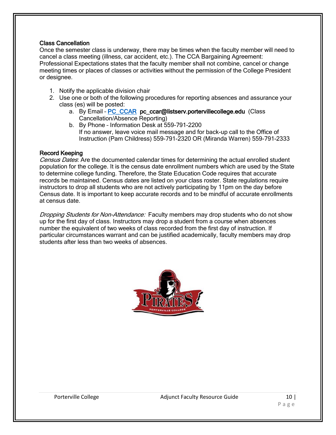# Class Cancellation

Once the semester class is underway, there may be times when the faculty member will need to cancel a class meeting (illness, car accident, etc.). The CCA Bargaining Agreement: Professional Expectations states that the faculty member shall not combine, cancel or change meeting times or places of classes or activities without the permission of the College President or designee.

- 1. Notify the applicable division chair
- 2. Use one or both of the following procedures for reporting absences and assurance your class (es) will be posted:
	- a. By Email PC CCAR pc\_ccar@listserv.portervillecollege.edu (Class Cancellation/Absence Reporting)
	- b. By Phone Information Desk at 559-791-2200 If no answer, leave voice mail message and for back-up call to the Office of Instruction (Pam Childress) 559-791-2320 OR (Miranda Warren) 559-791-2333

# Record Keeping

Census Dates: Are the documented calendar times for determining the actual enrolled student population for the college. It is the census date enrollment numbers which are used by the State to determine college funding. Therefore, the State Education Code requires that accurate records be maintained. Census dates are listed on your class roster. State regulations require instructors to drop all students who are not actively participating by 11pm on the day before Census date. It is important to keep accurate records and to be mindful of accurate enrollments at census date.

Dropping Students for Non-Attendance: Faculty members may drop students who do not show up for the first day of class. Instructors may drop a student from a course when absences number the equivalent of two weeks of class recorded from the first day of instruction. If particular circumstances warrant and can be justified academically, faculty members may drop students after less than two weeks of absences.

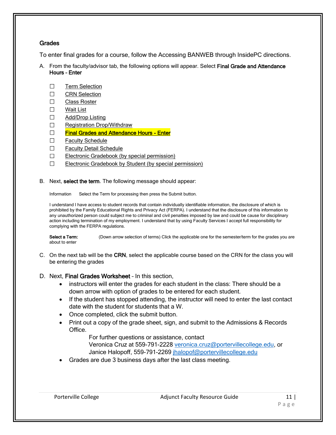# Grades

To enter final grades for a course, follow the Accessing BANWEB through InsidePC directions.

- A. From the faculty/advisor tab, the following options will appear. Select Final Grade and Attendance Hours – Enter
	- □ [Term Selection](https://portal.kccd.edu/render.UserLayoutRootNode.uP?uP_tparam=utf&utf=%2fcp%2fip%2flogin%3fsys%3dsctssb%26url%3dhttps://banweb.kccd.edu/prod/bwlkostm.P_FacSelTerm)
	- □ [CRN Selection](https://portal.kccd.edu/render.UserLayoutRootNode.uP?uP_tparam=utf&utf=%2fcp%2fip%2flogin%3fsys%3dsctssb%26url%3dhttps://banweb.kccd.edu/prod/bwlkocrn.P_FacCrnSel)
	- □ [Class Roster](https://portal.kccd.edu/render.UserLayoutRootNode.uP?uP_tparam=utf&utf=%2fcp%2fip%2flogin%3fsys%3dsctssb%26url%3dhttps://banweb.kccd.edu/prod/bwlkfcwl.P_FacClaList)
	- □ [Wait List](https://portal.kccd.edu/render.UserLayoutRootNode.uP?uP_tparam=utf&utf=%2fcp%2fip%2flogin%3fsys%3dsctssb%26url%3dhttps://banweb.kccd.edu/prod/bwlkfcwl.P_FacWaitList)
	- □ [Add/Drop Listing](https://portal.kccd.edu/render.UserLayoutRootNode.uP?uP_tparam=utf&utf=%2fcp%2fip%2flogin%3fsys%3dsctssb%26url%3dhttps://banweb.kccd.edu/prod/kwskfadl.P_FacAddDrop)
	- □ [Registration Drop/Withdraw](https://portal.kccd.edu/render.UserLayoutRootNode.uP?uP_tparam=utf&utf=%2fcp%2fip%2flogin%3fsys%3dsctssb%26url%3dhttps://banweb.kccd.edu/prod/kwskfdrp.P_FacSelectDrops)
	- □ [Final Grades and Attendance Hours Enter](https://portal.kccd.edu/render.UserLayoutRootNode.uP?uP_tparam=utf&utf=%2fcp%2fip%2flogin%3fsys%3dsctssb%26url%3dhttps://banweb.kccd.edu/prod/bwlkffgd.P_FacFinGrd)
	- □ [Faculty Schedule](https://portal.kccd.edu/render.UserLayoutRootNode.uP?uP_tparam=utf&utf=%2fcp%2fip%2flogin%3fsys%3dsctssb%26url%3dhttps://banweb.kccd.edu/prod/bwlkifac.P_FacDaySched)
	- □ [Faculty Detail Schedule](https://portal.kccd.edu/render.UserLayoutRootNode.uP?uP_tparam=utf&utf=%2fcp%2fip%2flogin%3fsys%3dsctssb%26url%3dhttps://banweb.kccd.edu/prod/bwlkifac.P_FacSched)
	- $\Box$  [Electronic Gradebook \(by special permission\)](https://portal.kccd.edu/render.UserLayoutRootNode.uP?uP_tparam=utf&utf=%2fcp%2fip%2flogin%3fsys%3dsctssb%26url%3dhttps://banweb.kccd.edu/prod/bwlkegrb.P_FacGradeComponents)
	- $\Box$  [Electronic Gradebook by Student \(by special permission\)](https://portal.kccd.edu/render.UserLayoutRootNode.uP?uP_tparam=utf&utf=%2fcp%2fip%2flogin%3fsys%3dsctssb%26url%3dhttps://banweb.kccd.edu/prod/bwlkegrb.P_FacIDDispShrmrks)
- B. Next, select the term. The following message should appear:

Information Select the Term for processing then press the Submit button.

I understand I have access to student records that contain individually identifiable information, the disclosure of which is prohibited by the Family Educational Rights and Privacy Act (FERPA). I understand that the disclosure of this information to any unauthorized person could subject me to criminal and civil penalties imposed by law and could be cause for disciplinary action including termination of my employment. I understand that by using Faculty Services I accept full responsibility for complying with the FERPA regulations.

Select a Term: (Down arrow selection of terms) Click the applicable one for the semester/term for the grades you are about to enter

- C. On the next tab will be the CRN, select the applicable course based on the CRN for the class you will be entering the grades
- D. Next, Final Grades Worksheet In this section,
	- instructors will enter the grades for each student in the class: There should be a down arrow with option of grades to be entered for each student.
	- If the student has stopped attending, the instructor will need to enter the last contact date with the student for students that a W.
	- Once completed, click the submit button.
	- Print out a copy of the grade sheet, sign, and submit to the Admissions & Records Office.

For further questions or assistance, contact

Veronica Cruz at 559-791-2228 [veronica.cruz@portervillecollege.edu,](mailto:veronica.cruz@portervillecollege.edu) or Janice Halopoff, 559-791-2269 [jhalopof@portervillecollege.edu](mailto:jhalopof@portervillecollege.edu)

Grades are due 3 business days after the last class meeting.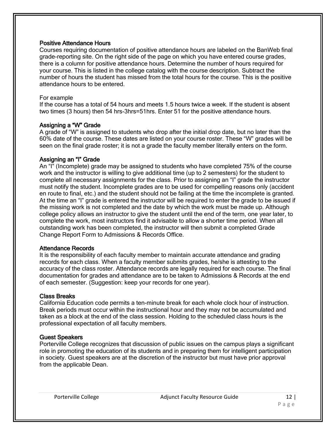# Positive Attendance Hours

Courses requiring documentation of positive attendance hours are labeled on the BanWeb final grade-reporting site. On the right side of the page on which you have entered course grades, there is a column for positive attendance hours. Determine the number of hours required for your course. This is listed in the college catalog with the course description. Subtract the number of hours the student has missed from the total hours for the course. This is the positive attendance hours to be entered.

#### For example

If the course has a total of 54 hours and meets 1.5 hours twice a week. If the student is absent two times (3 hours) then 54 hrs-3hrs=51hrs. Enter 51 for the positive attendance hours.

# Assigning a "W" Grade

A grade of "W" is assigned to students who drop after the initial drop date, but no later than the 60% date of the course. These dates are listed on your course roster. These "W" grades will be seen on the final grade roster; it is not a grade the faculty member literally enters on the form.

# Assigning an "I" Grade

An "I" (Incomplete) grade may be assigned to students who have completed 75% of the course work and the instructor is willing to give additional time (up to 2 semesters) for the student to complete all necessary assignments for the class. Prior to assigning an "I" grade the instructor must notify the student. Incomplete grades are to be used for compelling reasons only (accident en route to final, etc.) and the student should not be failing at the time the incomplete is granted. At the time an "I" grade is entered the instructor will be required to enter the grade to be issued if the missing work is not completed and the date by which the work must be made up. Although college policy allows an instructor to give the student until the end of the term, one year later, to complete the work, most instructors find it advisable to allow a shorter time period. When all outstanding work has been completed, the instructor will then submit a completed Grade Change Report Form to Admissions & Records Office.

#### Attendance Records

It is the responsibility of each faculty member to maintain accurate attendance and grading records for each class. When a faculty member submits grades, he/she is attesting to the accuracy of the class roster. Attendance records are legally required for each course. The final documentation for grades and attendance are to be taken to Admissions & Records at the end of each semester. (Suggestion: keep your records for one year).

# Class Breaks

California Education code permits a ten-minute break for each whole clock hour of instruction. Break periods must occur within the instructional hour and they may not be accumulated and taken as a block at the end of the class session. Holding to the scheduled class hours is the professional expectation of all faculty members.

# Guest Speakers

Porterville College recognizes that discussion of public issues on the campus plays a significant role in promoting the education of its students and in preparing them for intelligent participation in society. Guest speakers are at the discretion of the instructor but must have prior approval from the applicable Dean.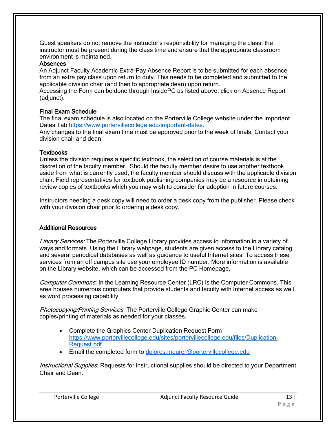Guest speakers do not remove the instructor's responsibility for managing the class; the instructor must be present during the class time and ensure that the appropriate classroom environment is maintained.

# Absences

An Adjunct Faculty Academic Extra-Pay Absence Report is to be submitted for each absence from an extra pay class upon return to duty. This needs to be completed and submitted to the applicable division chair (and then to appropriate dean) upon return.

Accessing the Form can be done through InsidePC as listed above, click on Absence Report (adjunct).

# Final Exam Schedule

The final exam schedule is also located on the Porterville College website under the Important Dates Tab [https://www.portervillecollege.edu/important-dates.](https://www.portervillecollege.edu/important-dates)

Any changes to the final exam time must be approved prior to the week of finals. Contact your division chair and dean.

# **Textbooks**

Unless the division requires a specific textbook, the selection of course materials is at the discretion of the faculty member. Should the faculty member desire to use another textbook aside from what is currently used, the faculty member should discuss with the applicable division chair. Field representatives for textbook publishing companies may be a resource in obtaining review copies of textbooks which you may wish to consider for adoption in future courses.

Instructors needing a desk copy will need to order a desk copy from the publisher. Please check with your division chair prior to ordering a desk copy.

# Additional Resources

Library Services: The Porterville College Library provides access to information in a variety of ways and formats. Using the Library webpage, students are given access to the Library catalog and several periodical databases as well as guidance to useful Internet sites. To access these services from an off campus site use your employee ID number. More information is available on the Library website, which can be accessed from the PC Homepage,

Computer Commons; In the Learning Resource Center (LRC) is the Computer Commons. This area houses numerous computers that provide students and faculty with Internet access as well as word processing capability.

Photocopying/Printing Services: The Porterville College Graphic Center can make copies/printing of materials as needed for your classes.

- Complete the Graphics Center Duplication Request Form [https://www.portervillecollege.edu/sites/portervillecollege.edu/files/Duplication-](https://www.portervillecollege.edu/sites/portervillecollege.edu/files/Duplication-Request.pdf)[Request.pdf](https://www.portervillecollege.edu/sites/portervillecollege.edu/files/Duplication-Request.pdf)
- **Email the completed form to [dolores.meurer@portervillecollege.edu](mailto:dolores.meurer@portervillecollege.edu)**

Instructional Supplies: Requests for instructional supplies should be directed to your Department Chair and Dean.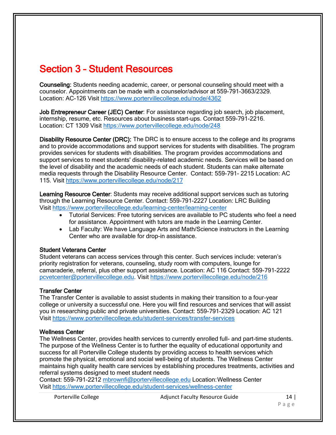# Section 3 – Student Resources

Counseling: Students needing academic, career, or personal counseling should meet with a counselor. Appointments can be made with a counselor/advisor at 559-791-3663/2329. Location: AC-126 Visit <https://www.portervillecollege.edu/node/4362>

Job Entrepreneur Career (JEC) Center: For assistance regarding job search, job placement, internship, resume, etc. Resources about business start-ups. Contact 559-791-2216. Location: CT 1309 Visit<https://www.portervillecollege.edu/node/248>

Disability Resource Center (DRC): The DRC is to ensure access to the college and its programs and to provide accommodations and support services for students with disabilities. The program provides services for students with disabilities. The program provides accommodations and support services to meet students' disability-related academic needs. Services will be based on the level of disability and the academic needs of each student. Students can make alternate media requests through the Disability Resource Center. Contact: 559-791- 2215 Location: AC 115. Visit<https://www.portervillecollege.edu/node/217>

Learning Resource Center: Students may receive additional support services such as tutoring through the Learning Resource Center. Contact: 559-791-2227 Location: LRC Building Visit<https://www.portervillecollege.edu/learning-center/learning-center>

- Tutorial Services: Free tutoring services are available to PC students who feel a need for assistance. Appointment with tutors are made in the Learning Center.
- Lab Faculty: We have Language Arts and Math/Science instructors in the Learning Center who are available for drop-in assistance.

# Student Veterans Center

Student veterans can access services through this center. Such services include: veteran's priority registration for veterans, counseling, study room with computers, lounge for camaraderie, referral, plus other support assistance. Location: AC 116 Contact: 559-791-2222 [pcvetcenter@portervillecollege.edu.](mailto:pcvetcenter@portervillecollege.edu) Visit<https://www.portervillecollege.edu/node/216>

# Transfer Center

The Transfer Center is available to assist students in making their transition to a four-year college or university a successful one. Here you will find resources and services that will assist you in researching public and private universities. Contact: 559-791-2329 Location: AC 121 Visit<https://www.portervillecollege.edu/student-services/transfer-services>

# Wellness Center

The Wellness Center, provides health services to currently enrolled full- and part-time students. The purpose of the Wellness Center is to further the equality of educational opportunity and success for all Porterville College students by providing access to health services which promote the physical, emotional and social well-being of students. The Wellness Center maintains high quality health care services by establishing procedures treatments, activities and referral systems designed to meet student needs

Contact: 559-791-2212 [mbrownfi@portervillecollege.edu](mailto:mbrownfi@portervillecollege.edu) Location:Wellness Center Visit<https://www.portervillecollege.edu/student-services/wellness-center>

Porterville College The Adjunct Faculty Resource Guide 14 | 14 |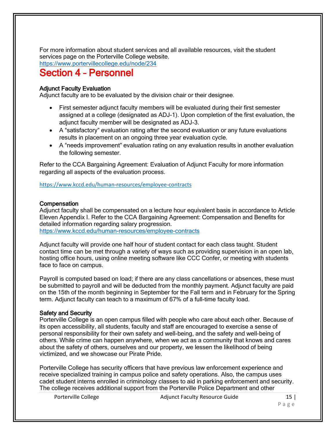For more information about student services and all available resources, visit the student services page on the Porterville College website.

<https://www.portervillecollege.edu/node/234>

# Section 4 – Personnel

# **Adiunct Faculty Evaluation**

Adjunct faculty are to be evaluated by the division chair or their designee.

- First semester adjunct faculty members will be evaluated during their first semester assigned at a college (designated as ADJ-1). Upon completion of the first evaluation, the adjunct faculty member will be designated as ADJ-3.
- A "satisfactory" evaluation rating after the second evaluation or any future evaluations results in placement on an ongoing three year evaluation cycle.
- A "needs improvement" evaluation rating on any evaluation results in another evaluation the following semester.

Refer to the CCA Bargaining Agreement: Evaluation of Adjunct Faculty for more information regarding all aspects of the evaluation process.

<https://www.kccd.edu/human-resources/employee-contracts>

# **Compensation**

Adjunct faculty shall be compensated on a lecture hour equivalent basis in accordance to Article Eleven Appendix I. Refer to the CCA Bargaining Agreement: Compensation and Benefits for detailed information regarding salary progression.

<https://www.kccd.edu/human-resources/employee-contracts>

Adjunct faculty will provide one half hour of student contact for each class taught. Student contact time can be met through a variety of ways such as providing supervision in an open lab, hosting office hours, using online meeting software like CCC Confer, or meeting with students face to face on campus.

Payroll is computed based on load; if there are any class cancellations or absences, these must be submitted to payroll and will be deducted from the monthly payment. Adjunct faculty are paid on the 15th of the month beginning in September for the Fall term and in February for the Spring term. Adjunct faculty can teach to a maximum of 67% of a full-time faculty load.

# Safety and Security

Porterville College is an open campus filled with people who care about each other. Because of its open accessibility, all students, faculty and staff are encouraged to exercise a sense of personal responsibility for their own safety and well-being, and the safety and well-being of others. While crime can happen anywhere, when we act as a community that knows and cares about the safety of others, ourselves and our property, we lessen the likelihood of being victimized, and we showcase our Pirate Pride.

Porterville College has security officers that have previous law enforcement experience and receive specialized training in campus police and safety operations. Also, the campus uses cadet student interns enrolled in criminology classes to aid in parking enforcement and security. The college receives additional support from the Porterville Police Department and other

Porterville College The Adjunct Faculty Resource Guide 15 | 15 |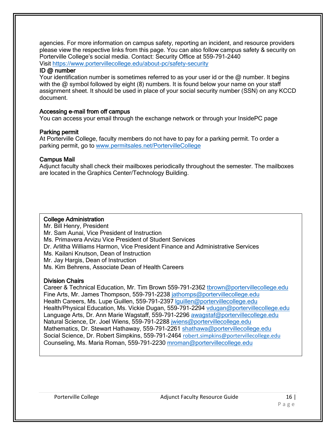agencies. For more information on campus safety, reporting an incident, and resource providers please view the respective links from this page. You can also follow campus safety & security on Porterville College's social media. Contact: Security Office at 559-791-2440 Visit<https://www.portervillecollege.edu/about-pc/safety-security>

#### ID @ number

Your identification number is sometimes referred to as your user id or the @ number. It begins with the @ symbol followed by eight (8) numbers. It is found below your name on your staff assignment sheet. It should be used in place of your social security number (SSN) on any KCCD document.

# Accessing e-mail from off campus

You can access your email through the exchange network or through your InsidePC page

#### Parking permit

At Porterville College, faculty members do not have to pay for a parking permit. To order a parking permit, go to [www.permitsales.net/PortervilleCollege](http://www.permitsales.net/PortervilleCollege) 

#### Campus Mail

Adjunct faculty shall check their mailboxes periodically throughout the semester. The mailboxes are located in the Graphics Center/Technology Building.

#### College Administration

Mr. Bill Henry, President Mr. Sam Aunai, Vice President of Instruction Ms. Primavera Arvizu Vice President of Student Services Dr. Arlitha Williams Harmon, Vice President Finance and Administrative Services Ms. Kailani Knutson, Dean of Instruction Mr. Jay Hargis, Dean of Instruction Ms. Kim Behrens, Associate Dean of Health Careers

# Division Chairs

Career & Technical Education, Mr. Tim Brown 559-791-2362 [tbrown@portervillecollege.edu](mailto:tbrown@portervillecollege.edu) Fine Arts, Mr. James Thompson, 559-791-2238 [jathomps@portervillecollege.edu](mailto:jathomps@portervillecollege.edu) Health Careers, Ms. Lupe Guillen, 559-791-2397 [lguillen@portervillecollege.edu](mailto:lguillen@portervillecollege.edu) Health/Physical Education, Ms. Vickie Dugan, 559-791-2294 [vdugan@portervillecollege.edu](mailto:vdugan@portervillecollege.edu) Language Arts, Dr. Ann Marie Wagstaff, 559-791-2296 [awagstaf@portervillecollege.edu](mailto:awagstaf@portervillecollege.edu) Natural Science, Dr. Joel Wiens, 559-791-2288 [jwiens@portervillecollege.edu](mailto:jwiens@portervillecollege.edu) Mathematics, Dr. Stewart Hathaway, 559-791-2261 [shathawa@portervillecollege.edu](mailto:shathawa@portervillecollege.edu) Social Science, Dr. Robert Simpkins, 559-791-2464 [robert.simpkins@portervillecollege.edu](mailto:robert.simpkins@portervillecollege.edu) Counseling, Ms. Maria Roman, 559-791-2230 [mroman@portervillecollege.edu](mailto:mroman@portervillecollege.edu)